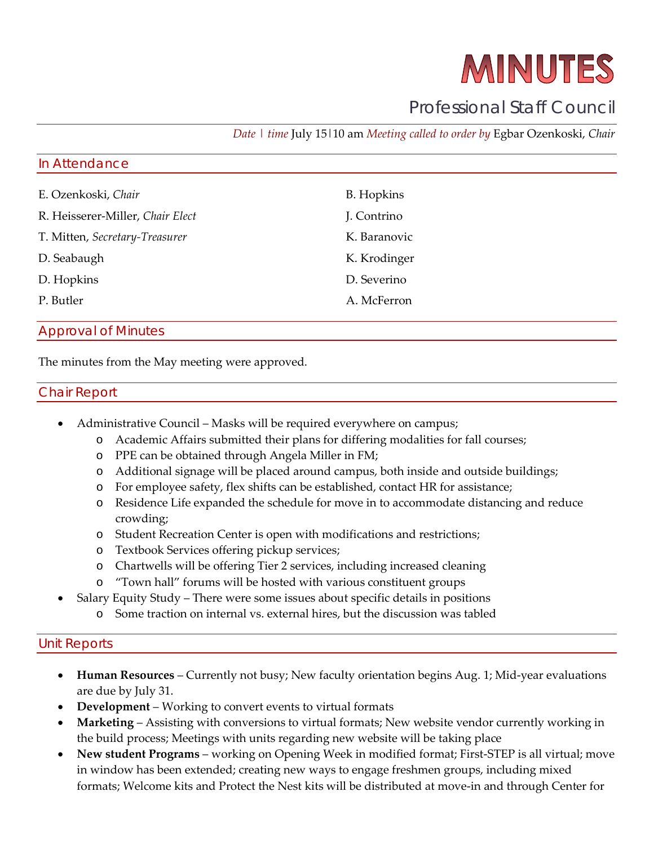# MINUTES

# Professional Staff Council

*Date | time* July 15|10 am *Meeting called to order by* Egbar Ozenkoski, *Chair*

#### In Attendance

| E. Ozenkoski, Chair              | <b>B.</b> Hopkins |
|----------------------------------|-------------------|
| R. Heisserer-Miller, Chair Elect | J. Contrino       |
| T. Mitten, Secretary-Treasurer   | K. Baranovic      |
| D. Seabaugh                      | K. Krodinger      |
| D. Hopkins                       | D. Severino       |
| P. Butler                        | A. McFerron       |
|                                  |                   |

#### Approval of Minutes

The minutes from the May meeting were approved.

#### Chair Report

- Administrative Council Masks will be required everywhere on campus;
	- o Academic Affairs submitted their plans for differing modalities for fall courses;
	- o PPE can be obtained through Angela Miller in FM;
	- o Additional signage will be placed around campus, both inside and outside buildings;
	- o For employee safety, flex shifts can be established, contact HR for assistance;
	- o Residence Life expanded the schedule for move in to accommodate distancing and reduce crowding;
	- o Student Recreation Center is open with modifications and restrictions;
	- o Textbook Services offering pickup services;
	- o Chartwells will be offering Tier 2 services, including increased cleaning
	- o "Town hall" forums will be hosted with various constituent groups
- Salary Equity Study There were some issues about specific details in positions
	- o Some traction on internal vs. external hires, but the discussion was tabled

#### Unit Reports

- **Human Resources** Currently not busy; New faculty orientation begins Aug. 1; Mid-year evaluations are due by July 31.
- **Development** Working to convert events to virtual formats
- **Marketing** Assisting with conversions to virtual formats; New website vendor currently working in the build process; Meetings with units regarding new website will be taking place
- **New student Programs** working on Opening Week in modified format; First-STEP is all virtual; move in window has been extended; creating new ways to engage freshmen groups, including mixed formats; Welcome kits and Protect the Nest kits will be distributed at move-in and through Center for